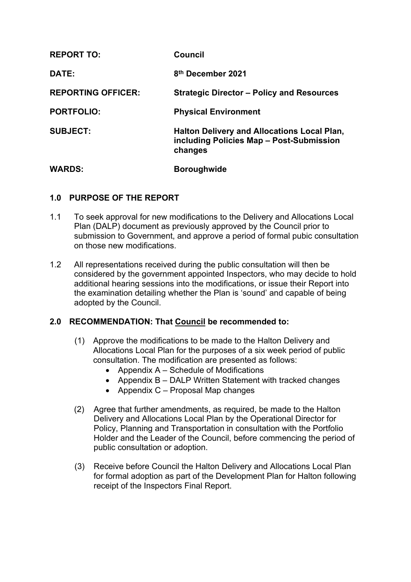| <b>REPORT TO:</b>         | Council                                                                                                   |
|---------------------------|-----------------------------------------------------------------------------------------------------------|
| DATE:                     | 8 <sup>th</sup> December 2021                                                                             |
| <b>REPORTING OFFICER:</b> | <b>Strategic Director – Policy and Resources</b>                                                          |
| <b>PORTFOLIO:</b>         | <b>Physical Environment</b>                                                                               |
| <b>SUBJECT:</b>           | <b>Halton Delivery and Allocations Local Plan,</b><br>including Policies Map - Post-Submission<br>changes |
| <b>WARDS:</b>             | <b>Boroughwide</b>                                                                                        |

## **1.0 PURPOSE OF THE REPORT**

- 1.1 To seek approval for new modifications to the Delivery and Allocations Local Plan (DALP) document as previously approved by the Council prior to submission to Government, and approve a period of formal pubic consultation on those new modifications.
- 1.2 All representations received during the public consultation will then be considered by the government appointed Inspectors, who may decide to hold additional hearing sessions into the modifications, or issue their Report into the examination detailing whether the Plan is 'sound' and capable of being adopted by the Council.

## **2.0 RECOMMENDATION: That Council be recommended to:**

- (1) Approve the modifications to be made to the Halton Delivery and Allocations Local Plan for the purposes of a six week period of public consultation. The modification are presented as follows:
	- Appendix  $A S$ chedule of Modifications
	- Appendix B DALP Written Statement with tracked changes
	- Appendix  $C -$  Proposal Map changes
- (2) Agree that further amendments, as required, be made to the Halton Delivery and Allocations Local Plan by the Operational Director for Policy, Planning and Transportation in consultation with the Portfolio Holder and the Leader of the Council, before commencing the period of public consultation or adoption.
- (3) Receive before Council the Halton Delivery and Allocations Local Plan for formal adoption as part of the Development Plan for Halton following receipt of the Inspectors Final Report.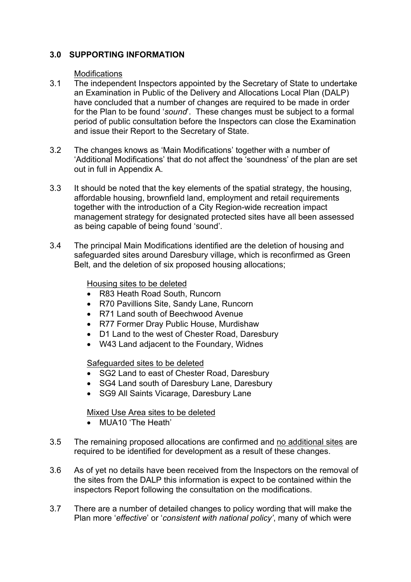## **3.0 SUPPORTING INFORMATION**

#### **Modifications**

- 3.1 The independent Inspectors appointed by the Secretary of State to undertake an Examination in Public of the Delivery and Allocations Local Plan (DALP) have concluded that a number of changes are required to be made in order for the Plan to be found '*sound*'. These changes must be subject to a formal period of public consultation before the Inspectors can close the Examination and issue their Report to the Secretary of State.
- 3.2 The changes knows as 'Main Modifications' together with a number of 'Additional Modifications' that do not affect the 'soundness' of the plan are set out in full in Appendix A.
- 3.3 It should be noted that the key elements of the spatial strategy, the housing, affordable housing, brownfield land, employment and retail requirements together with the introduction of a City Region-wide recreation impact management strategy for designated protected sites have all been assessed as being capable of being found 'sound'.
- 3.4 The principal Main Modifications identified are the deletion of housing and safeguarded sites around Daresbury village, which is reconfirmed as Green Belt, and the deletion of six proposed housing allocations;

#### Housing sites to be deleted

- R83 Heath Road South, Runcorn
- R70 Pavillions Site, Sandy Lane, Runcorn
- R71 Land south of Beechwood Avenue
- R77 Former Dray Public House, Murdishaw
- D1 Land to the west of Chester Road, Daresbury
- W43 Land adjacent to the Foundary, Widnes

## Safeguarded sites to be deleted

- SG2 Land to east of Chester Road, Daresbury
- SG4 Land south of Daresbury Lane, Daresbury
- SG9 All Saints Vicarage, Daresbury Lane

## Mixed Use Area sites to be deleted

- MUA10 'The Heath'
- 3.5 The remaining proposed allocations are confirmed and no additional sites are required to be identified for development as a result of these changes.
- 3.6 As of yet no details have been received from the Inspectors on the removal of the sites from the DALP this information is expect to be contained within the inspectors Report following the consultation on the modifications.
- 3.7 There are a number of detailed changes to policy wording that will make the Plan more '*effective*' or '*consistent with national policy'*, many of which were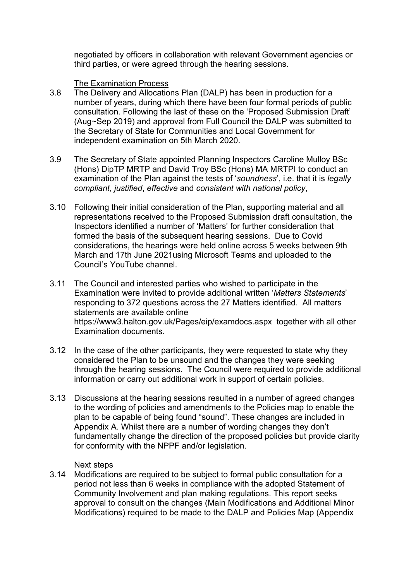negotiated by officers in collaboration with relevant Government agencies or third parties, or were agreed through the hearing sessions.

## The Examination Process

- 3.8 The Delivery and Allocations Plan (DALP) has been in production for a number of years, during which there have been four formal periods of public consultation. Following the last of these on the 'Proposed Submission Draft' (Aug~Sep 2019) and approval from Full Council the DALP was submitted to the Secretary of State for Communities and Local Government for independent examination on 5th March 2020.
- 3.9 The Secretary of State appointed Planning Inspectors Caroline Mulloy BSc (Hons) DipTP MRTP and David Troy BSc (Hons) MA MRTPI to conduct an examination of the Plan against the tests of '*soundness*', i.e. that it is *legally compliant*, *justified*, *effective* and *consistent with national policy*,
- 3.10 Following their initial consideration of the Plan, supporting material and all representations received to the Proposed Submission draft consultation, the Inspectors identified a number of 'Matters' for further consideration that formed the basis of the subsequent hearing sessions. Due to Covid considerations, the hearings were held online across 5 weeks between 9th March and 17th June 2021using Microsoft Teams and uploaded to the Council's YouTube channel.
- 3.11 The Council and interested parties who wished to participate in the Examination were invited to provide additional written '*Matters Statements*' responding to 372 questions across the 27 Matters identified. All matters statements are available online <https://www3.halton.gov.uk/Pages/eip/examdocs.aspx> together with all other Examination documents.
- 3.12 In the case of the other participants, they were requested to state why they considered the Plan to be unsound and the changes they were seeking through the hearing sessions. The Council were required to provide additional information or carry out additional work in support of certain policies.
- 3.13 Discussions at the hearing sessions resulted in a number of agreed changes to the wording of policies and amendments to the Policies map to enable the plan to be capable of being found "sound". These changes are included in Appendix A. Whilst there are a number of wording changes they don't fundamentally change the direction of the proposed policies but provide clarity for conformity with the NPPF and/or legislation.

## Next steps

3.14 Modifications are required to be subject to formal public consultation for a period not less than 6 weeks in compliance with the adopted Statement of Community Involvement and plan making regulations. This report seeks approval to consult on the changes (Main Modifications and Additional Minor Modifications) required to be made to the DALP and Policies Map (Appendix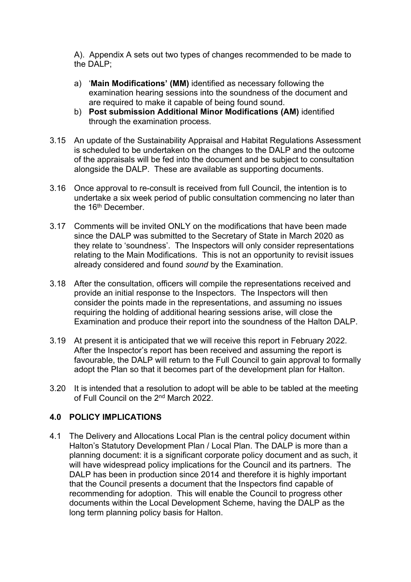A). Appendix A sets out two types of changes recommended to be made to the DALP;

- a) '**Main Modifications' (MM)** identified as necessary following the examination hearing sessions into the soundness of the document and are required to make it capable of being found sound.
- b) **Post submission Additional Minor Modifications (AM)** identified through the examination process.
- 3.15 An update of the Sustainability Appraisal and Habitat Regulations Assessment is scheduled to be undertaken on the changes to the DALP and the outcome of the appraisals will be fed into the document and be subject to consultation alongside the DALP. These are available as supporting documents.
- 3.16 Once approval to re-consult is received from full Council, the intention is to undertake a six week period of public consultation commencing no later than the 16<sup>th</sup> December.
- 3.17 Comments will be invited ONLY on the modifications that have been made since the DALP was submitted to the Secretary of State in March 2020 as they relate to 'soundness'. The Inspectors will only consider representations relating to the Main Modifications. This is not an opportunity to revisit issues already considered and found *sound* by the Examination.
- 3.18 After the consultation, officers will compile the representations received and provide an initial response to the Inspectors. The Inspectors will then consider the points made in the representations, and assuming no issues requiring the holding of additional hearing sessions arise, will close the Examination and produce their report into the soundness of the Halton DALP.
- 3.19 At present it is anticipated that we will receive this report in February 2022. After the Inspector's report has been received and assuming the report is favourable, the DALP will return to the Full Council to gain approval to formally adopt the Plan so that it becomes part of the development plan for Halton.
- 3.20 It is intended that a resolution to adopt will be able to be tabled at the meeting of Full Council on the 2<sup>nd</sup> March 2022.

## **4.0 POLICY IMPLICATIONS**

4.1 The Delivery and Allocations Local Plan is the central policy document within Halton's Statutory Development Plan / Local Plan. The DALP is more than a planning document: it is a significant corporate policy document and as such, it will have widespread policy implications for the Council and its partners. The DALP has been in production since 2014 and therefore it is highly important that the Council presents a document that the Inspectors find capable of recommending for adoption. This will enable the Council to progress other documents within the Local Development Scheme, having the DALP as the long term planning policy basis for Halton.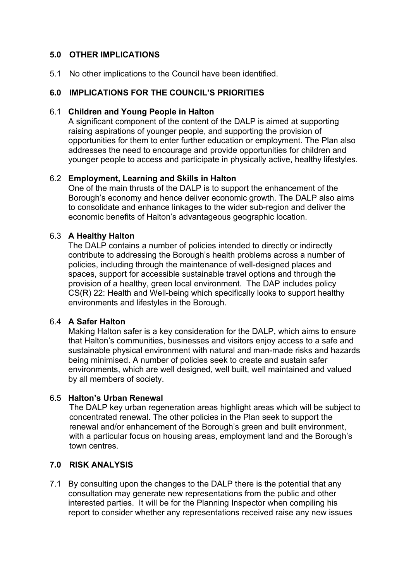## **5.0 OTHER IMPLICATIONS**

5.1 No other implications to the Council have been identified.

## **6.0 IMPLICATIONS FOR THE COUNCIL'S PRIORITIES**

#### 6.1 **Children and Young People in Halton**

A significant component of the content of the DALP is aimed at supporting raising aspirations of younger people, and supporting the provision of opportunities for them to enter further education or employment. The Plan also addresses the need to encourage and provide opportunities for children and younger people to access and participate in physically active, healthy lifestyles.

## 6.2 **Employment, Learning and Skills in Halton**

One of the main thrusts of the DALP is to support the enhancement of the Borough's economy and hence deliver economic growth. The DALP also aims to consolidate and enhance linkages to the wider sub-region and deliver the economic benefits of Halton's advantageous geographic location.

## 6.3 **A Healthy Halton**

The DALP contains a number of policies intended to directly or indirectly contribute to addressing the Borough's health problems across a number of policies, including through the maintenance of well-designed places and spaces, support for accessible sustainable travel options and through the provision of a healthy, green local environment. The DAP includes policy CS(R) 22: Health and Well-being which specifically looks to support healthy environments and lifestyles in the Borough.

## 6.4 **A Safer Halton**

Making Halton safer is a key consideration for the DALP, which aims to ensure that Halton's communities, businesses and visitors enjoy access to a safe and sustainable physical environment with natural and man-made risks and hazards being minimised. A number of policies seek to create and sustain safer environments, which are well designed, well built, well maintained and valued by all members of society.

## 6.5 **Halton's Urban Renewal**

The DALP key urban regeneration areas highlight areas which will be subject to concentrated renewal. The other policies in the Plan seek to support the renewal and/or enhancement of the Borough's green and built environment, with a particular focus on housing areas, employment land and the Borough's town centres.

## **7.0 RISK ANALYSIS**

7.1 By consulting upon the changes to the DALP there is the potential that any consultation may generate new representations from the public and other interested parties. It will be for the Planning Inspector when compiling his report to consider whether any representations received raise any new issues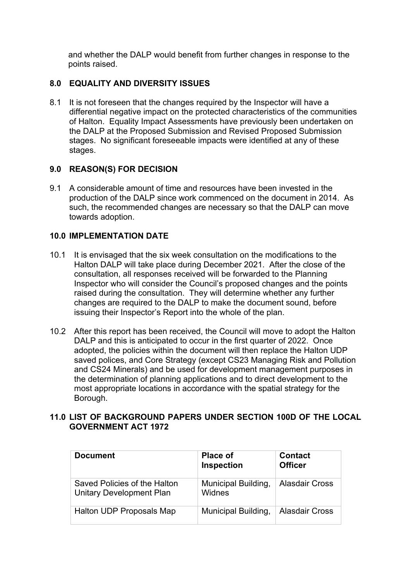and whether the DALP would benefit from further changes in response to the points raised.

# **8.0 EQUALITY AND DIVERSITY ISSUES**

8.1 It is not foreseen that the changes required by the Inspector will have a differential negative impact on the protected characteristics of the communities of Halton. Equality Impact Assessments have previously been undertaken on the DALP at the Proposed Submission and Revised Proposed Submission stages. No significant foreseeable impacts were identified at any of these stages.

## **9.0 REASON(S) FOR DECISION**

9.1 A considerable amount of time and resources have been invested in the production of the DALP since work commenced on the document in 2014. As such, the recommended changes are necessary so that the DALP can move towards adoption.

# **10.0 IMPLEMENTATION DATE**

- 10.1 It is envisaged that the six week consultation on the modifications to the Halton DALP will take place during December 2021. After the close of the consultation, all responses received will be forwarded to the Planning Inspector who will consider the Council's proposed changes and the points raised during the consultation. They will determine whether any further changes are required to the DALP to make the document sound, before issuing their Inspector's Report into the whole of the plan.
- 10.2 After this report has been received, the Council will move to adopt the Halton DALP and this is anticipated to occur in the first quarter of 2022. Once adopted, the policies within the document will then replace the Halton UDP saved polices, and Core Strategy (except CS23 Managing Risk and Pollution and CS24 Minerals) and be used for development management purposes in the determination of planning applications and to direct development to the most appropriate locations in accordance with the spatial strategy for the Borough.

# **11.0 LIST OF BACKGROUND PAPERS UNDER SECTION 100D OF THE LOCAL GOVERNMENT ACT 1972**

| <b>Document</b>                                          | <b>Place of</b><br>Inspection | <b>Contact</b><br><b>Officer</b> |
|----------------------------------------------------------|-------------------------------|----------------------------------|
| Saved Policies of the Halton<br>Unitary Development Plan | Municipal Building,<br>Widnes | <b>Alasdair Cross</b>            |
| Halton UDP Proposals Map                                 | Municipal Building,           | <b>Alasdair Cross</b>            |